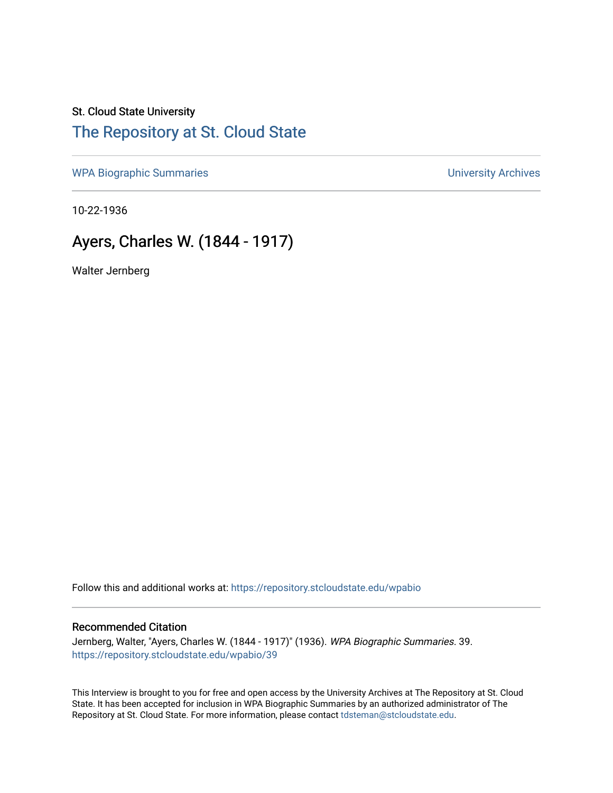## St. Cloud State University [The Repository at St. Cloud State](https://repository.stcloudstate.edu/)

[WPA Biographic Summaries](https://repository.stcloudstate.edu/wpabio) **WPA Biographic Summaries University Archives** 

10-22-1936

## Ayers, Charles W. (1844 - 1917)

Walter Jernberg

Follow this and additional works at: [https://repository.stcloudstate.edu/wpabio](https://repository.stcloudstate.edu/wpabio?utm_source=repository.stcloudstate.edu%2Fwpabio%2F39&utm_medium=PDF&utm_campaign=PDFCoverPages) 

### Recommended Citation

Jernberg, Walter, "Ayers, Charles W. (1844 - 1917)" (1936). WPA Biographic Summaries. 39. [https://repository.stcloudstate.edu/wpabio/39](https://repository.stcloudstate.edu/wpabio/39?utm_source=repository.stcloudstate.edu%2Fwpabio%2F39&utm_medium=PDF&utm_campaign=PDFCoverPages)

This Interview is brought to you for free and open access by the University Archives at The Repository at St. Cloud State. It has been accepted for inclusion in WPA Biographic Summaries by an authorized administrator of The Repository at St. Cloud State. For more information, please contact [tdsteman@stcloudstate.edu.](mailto:tdsteman@stcloudstate.edu)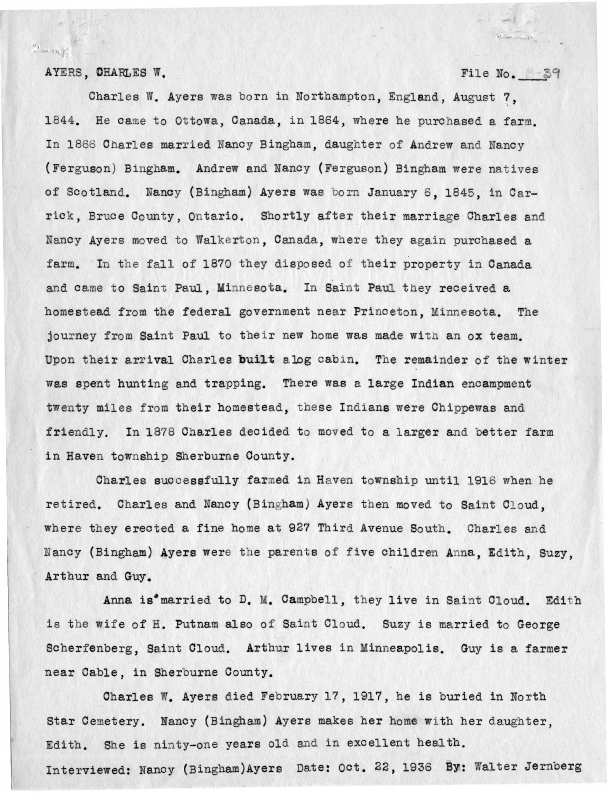AYERS, CHARLES W. File No. 39

 $z = -1$ 

 $\mathcal{D}$  and  $\mathcal{D}$ 

 $21 - 1$ 

Charles W. Ayers was born in Northampton, England, August?, 1844. He came to Ottowa, Canada, in 1864, where he purchased a farm. In 1866 Charles married Nancy Bingham, daughter of Andrew and Nancy (Ferguson) Bingham. Andrew and Nancy (Ferguson) Bingham were natives of Scotland. Nancy (Bingham) Ayers was born January 6, 1845, in Carrick, Bruce County, Ontario. Shortly after their marriage Charles and Nancy Ayers moved to Walkerton, Canada, where they again purchased a farm. In the fall of 1870 they disposed of their property in Canada and came to Saint Paul, Minnesota. In Saint Paul they received a homestead from the federal government near Princeton, Minnesota. The journey from Saint Paul to their new home was made with an ox team. Upon their arrival Charles built alog cabin. The remainder of the winter was spent hunting and trapping. There was a large Indian encampment twenty miles from their homestead, these Indians were Chippewas and friendly. In 1878 Charles decided to moved to a larger and better farm in Haven township Sherburne County.

Charles successfully farmed in Haven township until 1916 when he retired. Charles and Nancy (Bingham) Ayers then moved to Saint Cloud, where they erected a fine home at 927 Third Avenue South. Charles and Nancy (Bingham) Ayers were the parents of five children Anna, Edith, Suzy, Arthur and Guy.

Anna is<sup>\*</sup>married to D. M. Campbell, they live in Saint Cloud. Edith is the wife of H. Putnam also of Saint Cloud. Suzy is married to George Scherfenberg, Saint Cloud. Arthur lives in Minneapolis. Guy is a farmer near Cable, in Sherburne County.

Charles W. Ayers died February 17, 1917, he is buried in North Star Cemetery. Nancy (Bingham) Ayers makes her home with her daughter. Edith. She is ninty-one years old and in excellent health. Interviewed: Nancy (Bingham)Ayers Date: Oct. 22, 1936 By: Walter Jernberg